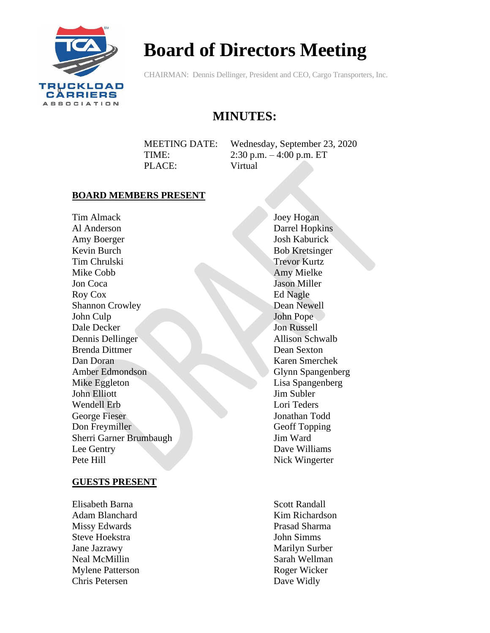

# **Board of Directors Meeting**

CHAIRMAN: Dennis Dellinger, President and CEO, Cargo Transporters, Inc.

# **MINUTES:**

MEETING DATE: Wednesday, September 23, 2020 TIME: 2:30 p.m. – 4:00 p.m. ET PLACE: Virtual

#### **BOARD MEMBERS PRESENT**

Tim Almack Al Anderson Amy Boerger Kevin Burch Tim Chrulski Mike Cobb Jon Coca Roy Cox Shannon Crowley John Culp Dale Decker Dennis Dellinger Brenda Dittmer Dan Doran Amber Edmondson Mike Eggleton John Elliott Wendell Erb George Fieser Don Freymiller Sherri Garner Brumbaugh Lee Gentry Pete Hill

#### **GUESTS PRESENT**

Elisabeth Barna Adam Blanchard Missy Edwards Steve Hoekstra Jane Jazrawy Neal McMillin Mylene Patterson Chris Petersen

Joey Hogan Darrel Hopkins Josh Kaburick Bob Kretsinger Trevor Kurtz Amy Mielke Jason Miller Ed Nagle Dean Newell John Pope Jon Russell Allison Schwalb Dean Sexton Karen Smerchek Glynn Spangenberg Lisa Spangenberg Jim Subler Lori Teders Jonathan Todd Geoff Topping Jim Ward Dave Williams Nick Wingerter

Scott Randall Kim Richardson Prasad Sharma John Simms Marilyn Surber Sarah Wellman Roger Wicker Dave Widly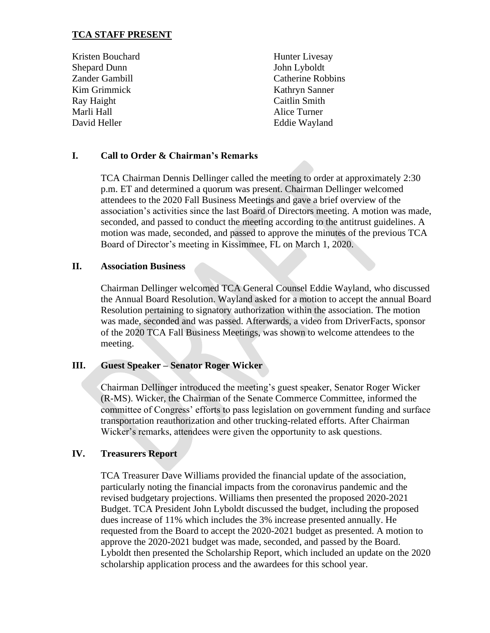# **TCA STAFF PRESENT**

Kristen Bouchard Shepard Dunn Zander Gambill Kim Grimmick Ray Haight Marli Hall David Heller

Hunter Livesay John Lyboldt Catherine Robbins Kathryn Sanner Caitlin Smith Alice Turner Eddie Wayland

# **I. Call to Order & Chairman's Remarks**

TCA Chairman Dennis Dellinger called the meeting to order at approximately 2:30 p.m. ET and determined a quorum was present. Chairman Dellinger welcomed attendees to the 2020 Fall Business Meetings and gave a brief overview of the association's activities since the last Board of Directors meeting. A motion was made, seconded, and passed to conduct the meeting according to the antitrust guidelines. A motion was made, seconded, and passed to approve the minutes of the previous TCA Board of Director's meeting in Kissimmee, FL on March 1, 2020.

#### **II. Association Business**

Chairman Dellinger welcomed TCA General Counsel Eddie Wayland, who discussed the Annual Board Resolution. Wayland asked for a motion to accept the annual Board Resolution pertaining to signatory authorization within the association. The motion was made, seconded and was passed. Afterwards, a video from DriverFacts, sponsor of the 2020 TCA Fall Business Meetings, was shown to welcome attendees to the meeting.

# **III. Guest Speaker – Senator Roger Wicker**

Chairman Dellinger introduced the meeting's guest speaker, Senator Roger Wicker (R-MS). Wicker, the Chairman of the Senate Commerce Committee, informed the committee of Congress' efforts to pass legislation on government funding and surface transportation reauthorization and other trucking-related efforts. After Chairman Wicker's remarks, attendees were given the opportunity to ask questions.

#### **IV. Treasurers Report**

TCA Treasurer Dave Williams provided the financial update of the association, particularly noting the financial impacts from the coronavirus pandemic and the revised budgetary projections. Williams then presented the proposed 2020-2021 Budget. TCA President John Lyboldt discussed the budget, including the proposed dues increase of 11% which includes the 3% increase presented annually. He requested from the Board to accept the 2020-2021 budget as presented. A motion to approve the 2020-2021 budget was made, seconded, and passed by the Board. Lyboldt then presented the Scholarship Report, which included an update on the 2020 scholarship application process and the awardees for this school year.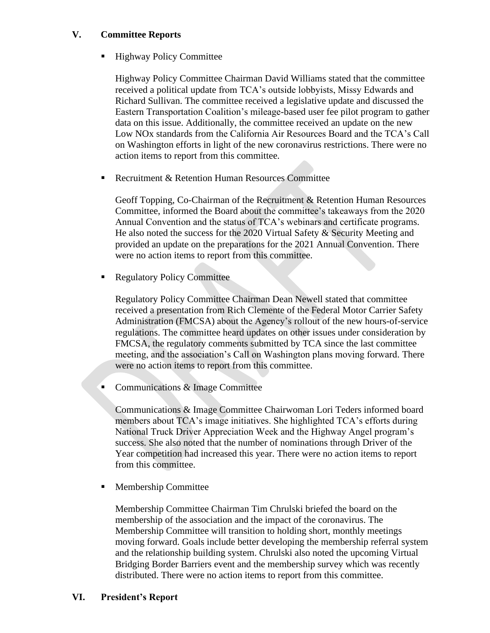# **V. Committee Reports**

■ Highway Policy Committee

Highway Policy Committee Chairman David Williams stated that the committee received a political update from TCA's outside lobbyists, Missy Edwards and Richard Sullivan. The committee received a legislative update and discussed the Eastern Transportation Coalition's mileage-based user fee pilot program to gather data on this issue. Additionally, the committee received an update on the new Low NOx standards from the California Air Resources Board and the TCA's Call on Washington efforts in light of the new coronavirus restrictions. There were no action items to report from this committee.

■ Recruitment & Retention Human Resources Committee

Geoff Topping, Co-Chairman of the Recruitment & Retention Human Resources Committee, informed the Board about the committee's takeaways from the 2020 Annual Convention and the status of TCA's webinars and certificate programs. He also noted the success for the 2020 Virtual Safety & Security Meeting and provided an update on the preparations for the 2021 Annual Convention. There were no action items to report from this committee.

■ Regulatory Policy Committee

Regulatory Policy Committee Chairman Dean Newell stated that committee received a presentation from Rich Clemente of the Federal Motor Carrier Safety Administration (FMCSA) about the Agency's rollout of the new hours-of-service regulations. The committee heard updates on other issues under consideration by FMCSA, the regulatory comments submitted by TCA since the last committee meeting, and the association's Call on Washington plans moving forward. There were no action items to report from this committee.

■ Communications & Image Committee

Communications & Image Committee Chairwoman Lori Teders informed board members about TCA's image initiatives. She highlighted TCA's efforts during National Truck Driver Appreciation Week and the Highway Angel program's success. She also noted that the number of nominations through Driver of the Year competition had increased this year. There were no action items to report from this committee.

■ Membership Committee

Membership Committee Chairman Tim Chrulski briefed the board on the membership of the association and the impact of the coronavirus. The Membership Committee will transition to holding short, monthly meetings moving forward. Goals include better developing the membership referral system and the relationship building system. Chrulski also noted the upcoming Virtual Bridging Border Barriers event and the membership survey which was recently distributed. There were no action items to report from this committee.

**VI. President's Report**